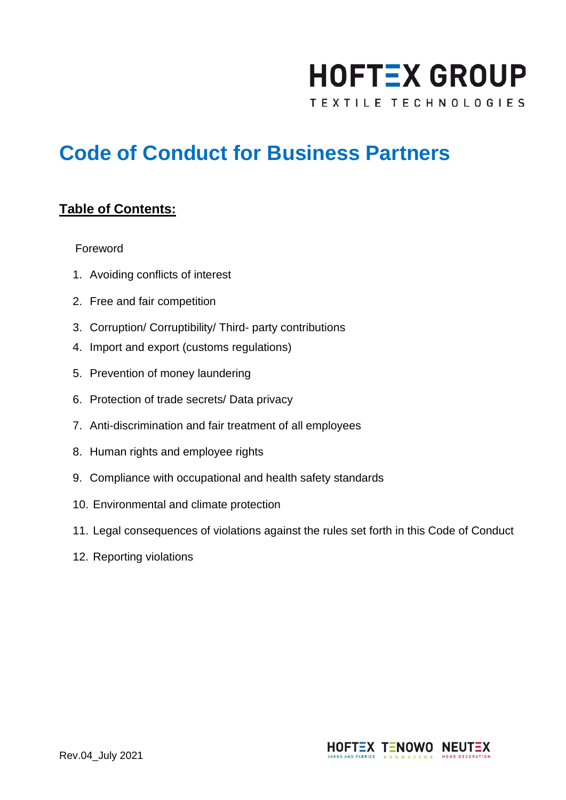# **HOFTEX GROUP**

TEXTILE TECHNOLOGIES

# **Code of Conduct for Business Partners**

### **Table of Contents:**

#### Foreword

- 1. Avoiding conflicts of interest
- 2. Free and fair competition
- 3. Corruption/ Corruptibility/ Third- party contributions
- 4. Import and export (customs regulations)
- 5. Prevention of money laundering
- 6. Protection of trade secrets/ Data privacy
- 7. Anti-discrimination and fair treatment of all employees
- 8. Human rights and employee rights
- 9. Compliance with occupational and health safety standards
- 10. Environmental and climate protection
- 11. Legal consequences of violations against the rules set forth in this Code of Conduct
- 12. Reporting violations

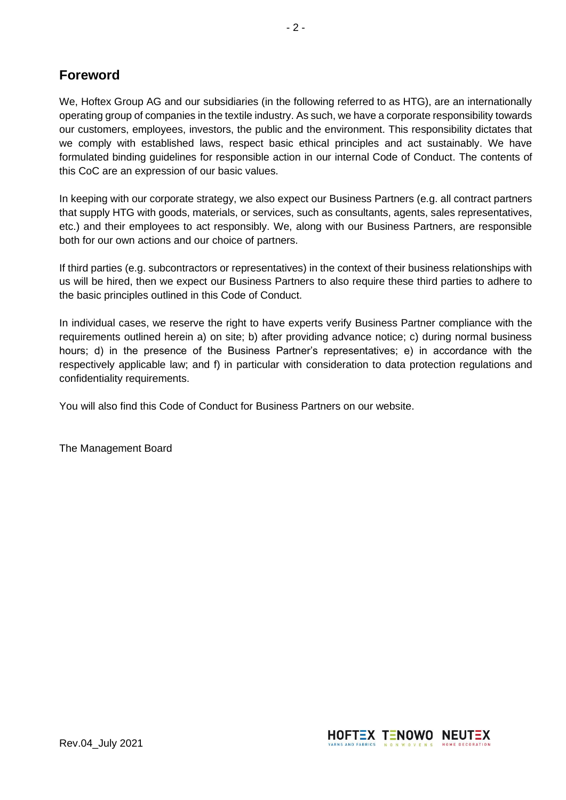## **Foreword**

We, Hoftex Group AG and our subsidiaries (in the following referred to as HTG), are an internationally operating group of companies in the textile industry. As such, we have a corporate responsibility towards our customers, employees, investors, the public and the environment. This responsibility dictates that we comply with established laws, respect basic ethical principles and act sustainably. We have formulated binding guidelines for responsible action in our internal Code of Conduct. The contents of this CoC are an expression of our basic values.

In keeping with our corporate strategy, we also expect our Business Partners (e.g. all contract partners that supply HTG with goods, materials, or services, such as consultants, agents, sales representatives, etc.) and their employees to act responsibly. We, along with our Business Partners, are responsible both for our own actions and our choice of partners.

If third parties (e.g. subcontractors or representatives) in the context of their business relationships with us will be hired, then we expect our Business Partners to also require these third parties to adhere to the basic principles outlined in this Code of Conduct.

In individual cases, we reserve the right to have experts verify Business Partner compliance with the requirements outlined herein a) on site; b) after providing advance notice; c) during normal business hours; d) in the presence of the Business Partner's representatives; e) in accordance with the respectively applicable law; and f) in particular with consideration to data protection regulations and confidentiality requirements.

You will also find this Code of Conduct for Business Partners on our website.

The Management Board

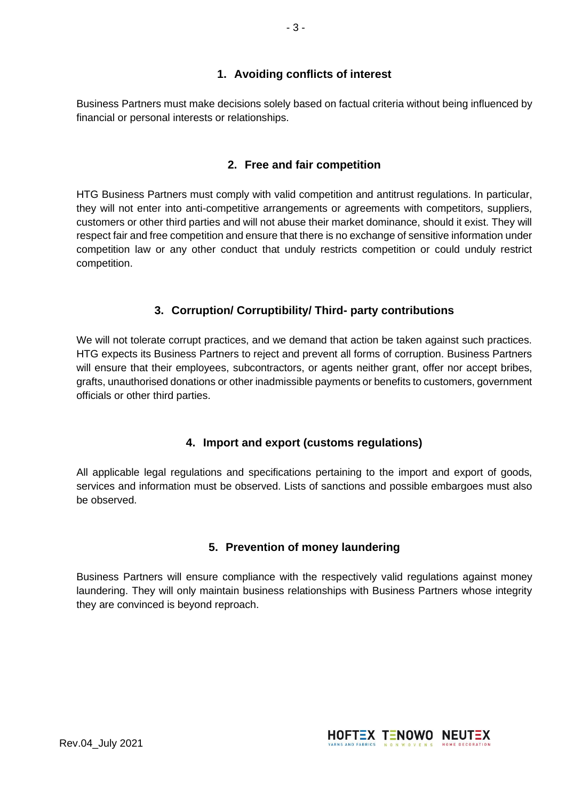#### **1. Avoiding conflicts of interest**

Business Partners must make decisions solely based on factual criteria without being influenced by financial or personal interests or relationships.

#### **2. Free and fair competition**

HTG Business Partners must comply with valid competition and antitrust regulations. In particular, they will not enter into anti-competitive arrangements or agreements with competitors, suppliers, customers or other third parties and will not abuse their market dominance, should it exist. They will respect fair and free competition and ensure that there is no exchange of sensitive information under competition law or any other conduct that unduly restricts competition or could unduly restrict competition.

#### **3. Corruption/ Corruptibility/ Third- party contributions**

We will not tolerate corrupt practices, and we demand that action be taken against such practices. HTG expects its Business Partners to reject and prevent all forms of corruption. Business Partners will ensure that their employees, subcontractors, or agents neither grant, offer nor accept bribes, grafts, unauthorised donations or other inadmissible payments or benefits to customers, government officials or other third parties.

#### **4. Import and export (customs regulations)**

All applicable legal regulations and specifications pertaining to the import and export of goods, services and information must be observed. Lists of sanctions and possible embargoes must also be observed.

#### **5. Prevention of money laundering**

Business Partners will ensure compliance with the respectively valid regulations against money laundering. They will only maintain business relationships with Business Partners whose integrity they are convinced is beyond reproach.

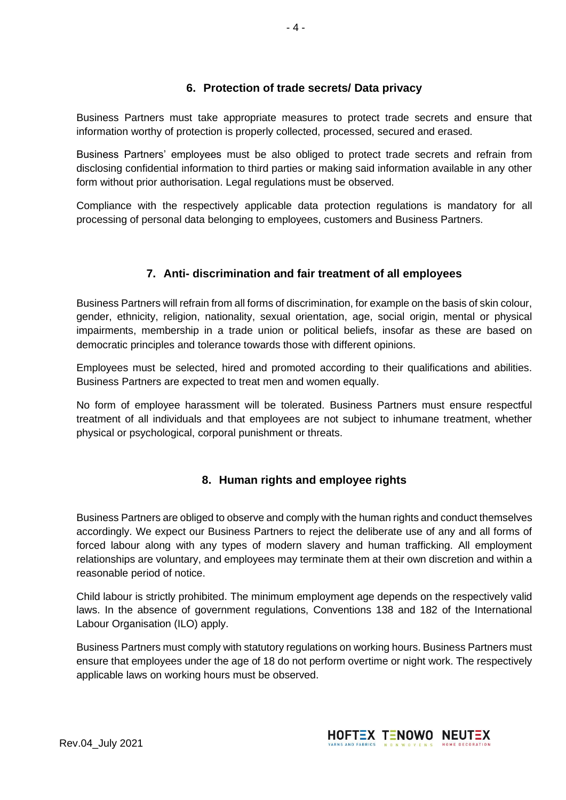#### **6. Protection of trade secrets/ Data privacy**

Business Partners must take appropriate measures to protect trade secrets and ensure that information worthy of protection is properly collected, processed, secured and erased.

Business Partners' employees must be also obliged to protect trade secrets and refrain from disclosing confidential information to third parties or making said information available in any other form without prior authorisation. Legal regulations must be observed.

Compliance with the respectively applicable data protection regulations is mandatory for all processing of personal data belonging to employees, customers and Business Partners.

#### **7. Anti- discrimination and fair treatment of all employees**

Business Partners will refrain from all forms of discrimination, for example on the basis of skin colour, gender, ethnicity, religion, nationality, sexual orientation, age, social origin, mental or physical impairments, membership in a trade union or political beliefs, insofar as these are based on democratic principles and tolerance towards those with different opinions.

Employees must be selected, hired and promoted according to their qualifications and abilities. Business Partners are expected to treat men and women equally.

No form of employee harassment will be tolerated. Business Partners must ensure respectful treatment of all individuals and that employees are not subject to inhumane treatment, whether physical or psychological, corporal punishment or threats.

#### **8. Human rights and employee rights**

Business Partners are obliged to observe and comply with the human rights and conduct themselves accordingly. We expect our Business Partners to reject the deliberate use of any and all forms of forced labour along with any types of modern slavery and human trafficking. All employment relationships are voluntary, and employees may terminate them at their own discretion and within a reasonable period of notice.

Child labour is strictly prohibited. The minimum employment age depends on the respectively valid laws. In the absence of government regulations, Conventions 138 and 182 of the International Labour Organisation (ILO) apply.

Business Partners must comply with statutory regulations on working hours. Business Partners must ensure that employees under the age of 18 do not perform overtime or night work. The respectively applicable laws on working hours must be observed.

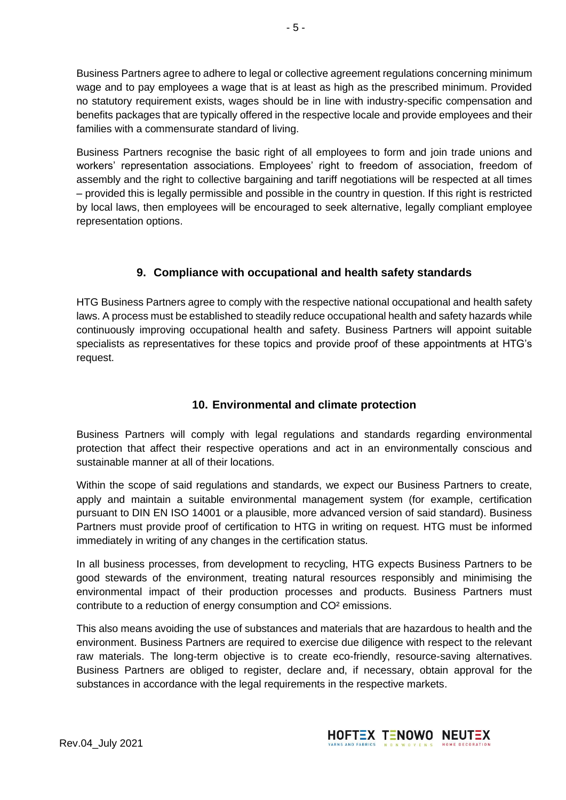Business Partners agree to adhere to legal or collective agreement regulations concerning minimum wage and to pay employees a wage that is at least as high as the prescribed minimum. Provided no statutory requirement exists, wages should be in line with industry-specific compensation and benefits packages that are typically offered in the respective locale and provide employees and their families with a commensurate standard of living.

Business Partners recognise the basic right of all employees to form and join trade unions and workers' representation associations. Employees' right to freedom of association, freedom of assembly and the right to collective bargaining and tariff negotiations will be respected at all times – provided this is legally permissible and possible in the country in question. If this right is restricted by local laws, then employees will be encouraged to seek alternative, legally compliant employee representation options.

#### **9. Compliance with occupational and health safety standards**

HTG Business Partners agree to comply with the respective national occupational and health safety laws. A process must be established to steadily reduce occupational health and safety hazards while continuously improving occupational health and safety. Business Partners will appoint suitable specialists as representatives for these topics and provide proof of these appointments at HTG's request.

#### **10. Environmental and climate protection**

Business Partners will comply with legal regulations and standards regarding environmental protection that affect their respective operations and act in an environmentally conscious and sustainable manner at all of their locations.

Within the scope of said regulations and standards, we expect our Business Partners to create, apply and maintain a suitable environmental management system (for example, certification pursuant to DIN EN ISO 14001 or a plausible, more advanced version of said standard). Business Partners must provide proof of certification to HTG in writing on request. HTG must be informed immediately in writing of any changes in the certification status.

In all business processes, from development to recycling, HTG expects Business Partners to be good stewards of the environment, treating natural resources responsibly and minimising the environmental impact of their production processes and products. Business Partners must contribute to a reduction of energy consumption and CO² emissions.

This also means avoiding the use of substances and materials that are hazardous to health and the environment. Business Partners are required to exercise due diligence with respect to the relevant raw materials. The long-term objective is to create eco-friendly, resource-saving alternatives. Business Partners are obliged to register, declare and, if necessary, obtain approval for the substances in accordance with the legal requirements in the respective markets.